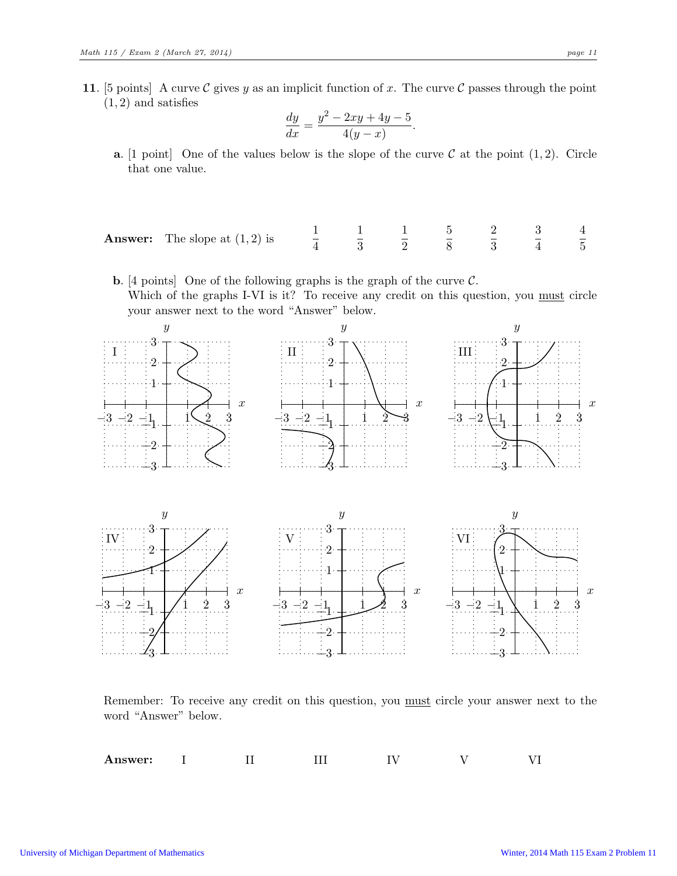11. [5 points] A curve C gives y as an implicit function of x. The curve C passes through the point  $(1, 2)$  and satisfies

$$
\frac{dy}{dx} = \frac{y^2 - 2xy + 4y - 5}{4(y - x)}.
$$

- **a.** [1 point] One of the values below is the slope of the curve  $\mathcal{C}$  at the point  $(1, 2)$ . Circle that one value.
- **Answer:** The slope at  $(1, 2)$  is  $\frac{1}{4}$ 1 3 1 2 5 8 2 3 3 4 4 5

## **b.** [4 points] One of the following graphs is the graph of the curve  $\mathcal{C}$ . Which of the graphs I-VI is it? To receive any credit on this question, you must circle your answer next to the word "Answer" below.



Remember: To receive any credit on this question, you must circle your answer next to the word "Answer" below.

Answer: I II III IV V VI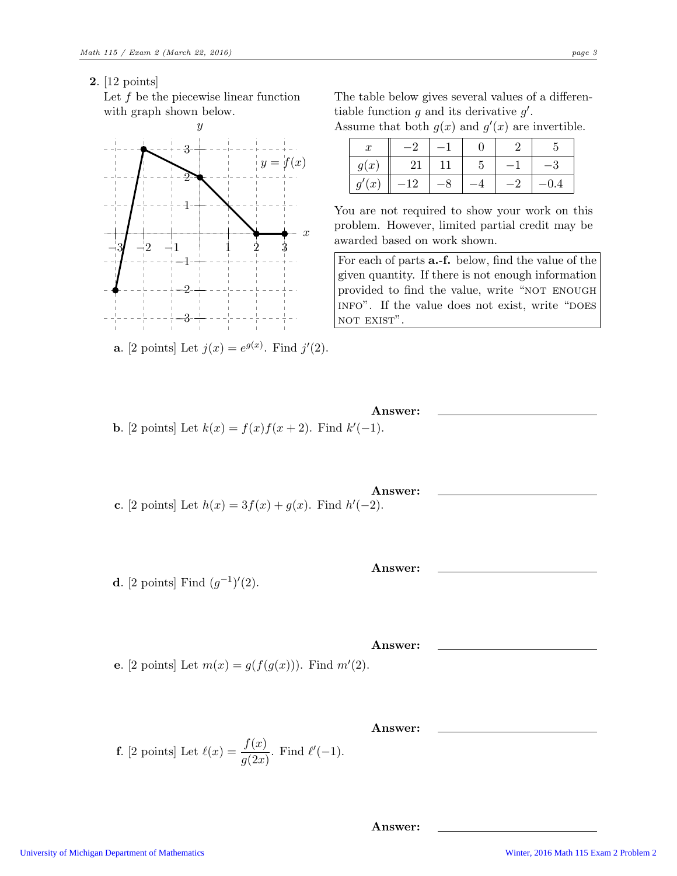2. [12 points]

Let  $f$  be the piecewise linear function with graph shown below.



**a**. [2 points] Let  $j(x) = e^{g(x)}$ . Find  $j'(2)$ .

- **b.** [2 points] Let  $k(x) = f(x)f(x+2)$ . Find  $k'(-1)$ .
- Answer: **c.** [2 points] Let  $h(x) = 3f(x) + g(x)$ . Find  $h'(-2)$ .
- **d**. [2 points] Find  $(g^{-1})'(2)$ .
- e. [2 points] Let  $m(x) = g(f(g(x)))$ . Find  $m'(2)$ .
- **f**. [2 points] Let  $\ell(x) = \frac{f(x)}{g(2x)}$ . Find  $\ell'(-1)$ .

The table below gives several values of a differentiable function  $g$  and its derivative  $g'$ . Assume that both  $g(x)$  and  $g'(x)$  are invertible.

| $\boldsymbol{x}$  |     |             |     |
|-------------------|-----|-------------|-----|
| g(x)              | 21  | $\mathbf b$ |     |
| (x <sup>2</sup> ) | -12 |             | 0.4 |

You are not required to show your work on this problem. However, limited partial credit may be awarded based on work shown.

For each of parts a.-f. below, find the value of the given quantity. If there is not enough information provided to find the value, write "NOT ENOUGH INFO". If the value does not exist, write "DOES NOT EXIST".

Answer:

Answer:

Answer:

Answer: